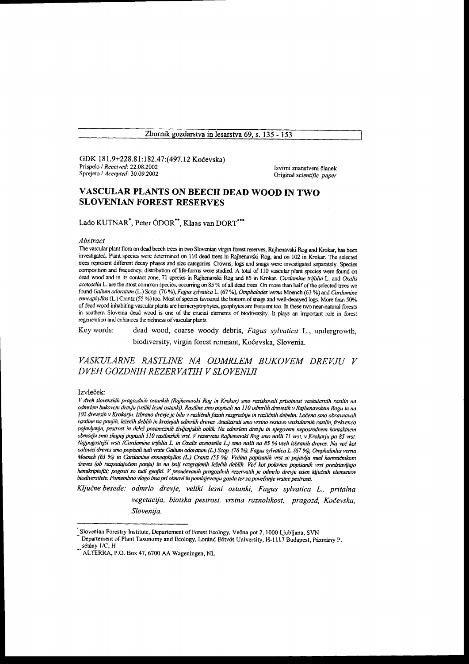Zbornik gozdarstva in lesarstva 69, s. 135 - 153

GDK 181.9+228.81:182.47:(497.12 Kočevska) Prispelo / Received: 22.08.2002 Sprejeto / Accepted: 30.09.2002

Izvirni znanstveni članek Original scientific paper

# VASCULAR PLANTS ON BEECH DEAD WOOD IN TWO **SLOVENIAN FOREST RESERVES**

Lado KUTNAR<sup>\*</sup>, Peter ÓDOR<sup>\*\*</sup>, Klaas van DORT<sup>\*\*\*</sup>

#### Abstract

The vascular plant flora on dead beech trees in two Slovenian virgin forest reserves, Rajhenavski Rog and Krokar, has been investigated. Plant species were determined on 110 dead trees in Rajhenavski Rog, and on 102 in Krokar. The selected trees represent different decay phases and size categories. Crowns, logs and snags were investigated separately. Species composition and frequency, distribution of life-forms were studied. A total of 110 vascular plant species were found on dead wood and in its contact zone, 71 species in Rajhenavski Rog and 85 in Krokar. Cardamine trifolia L. and Oxalis acetosella L. are the most common species, occurring on 85 % of all dead trees. On more than half of the selected trees we found Galium odoratum (L.) Scop. (76 %), Fagus sylvatica L. (67 %), Omphalodes verna Moench (63 %) and Cardamine enneaphyllos (L.) Crantz (55 %) too. Most of species favoured the bottom of snags and well-decayed logs. More than 50% of dead wood inhabiting vascular plants are hemicryptophytes, geophytes are frequent too. In these two near-natural forests in southern Slovenia dead wood is one of the crucial elements of biodiversity. It plays an important role in forest regeneration and enhances the richness of vascular plants.

dead wood, coarse woody debris, Fagus sylvatica L., undergrowth, Key words: biodiversity, virgin forest remnant, Kočevska, Slovenia.

VASKULARNE RASTLINE NA ODMRLEM BUKOVEM DREVJU V DVEH GOZDNIH REZERVATIH V SLOVENIJI

### Izvleček:

V dveh slovenskih pragozdnih ostankih (Rajhenavski Rog in Krokar) smo raziskovali prisotnost vaskularnih rastlin na odmrlem bukovem drevju (veliki lesni ostanki). Rastline smo popisali na 110 odmrlih drevesih v Rajhenavskem Rogu in na 102 drevesih v Krokarju. Izbrano drevje je bilo v različnih fazah razgradnje in različnih debelin. Ločeno smo obravnavali rastline na panjih, ležečih deblih in krošnjah odmrlih dreves. Analizirali smo vrstno sestavo vaskularnih rastlin, frekvenco pojavljanja, pestrost in delež posameznih življenjskih oblik. Na odmrlem drevju in njegovem neposrednem kontaktnem območju smo skupaj popisali 110 rastlinskih vrst. V rezervatu Rajhenavski Rog smo našli 71 vrst, v Krokarju pa 85 vrst. Najpogostejši vrsti (Cardamine trifolia L. in Oxalis acetosella L.) smo našli na 85 % vseh izbranih dreves. Na več kot polovici dreves smo popisali tudi vrste Galium odoratum (L.) Scop. (76 %), Fagus sylvatica L. (67 %), Omphalodes verna Moench (63 %) in Cardamine enneaphyllos (L.) Crantz (55 %). Večina popisanih vrst se pojavlja med koreničnikom<br>Moench (63 %) in Cardamine enneaphyllos (L.) Crantz (55 %). Večina popisanih vrst se pojavlja med koreničnikom<br> hemikriptofiti; pogosti so tudi geofiti. V proučevanih pragozdnih rezervatih je odmrlo drevje eden ključnih elementov biodiverzitete. Pomembno vlogo ima pri obnovi in pomlajevanju gozda ter za povečanje vrstne pestrosti.

Ključne besede: odmrlo drevje, veliki lesni ostanki, Fagus sylvatica L., pritalna vegetacija, biotska pestrost, vrstna raznolikost, pragozd, Kočevska, Slovenija.

Slovenian Forestry Institute, Departement of Forest Ecology, Večna pot 2, 1000 Ljubljana, SVN

Departement of Plant Taxonomy and Ecology, Loránd Eötvös University, H-1117 Budapest, Pázmány P. sétány 1/C, H

ALTERRA, P.O. Box 47, 6700 AA Wageningen, NL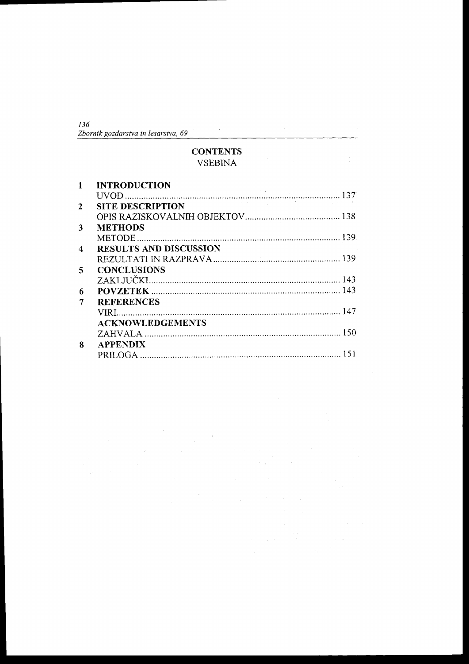| 136                                 |  |
|-------------------------------------|--|
| Zbornik gozdarstva in lesarstva, 69 |  |

# **CONTENTS VSEBINA**

|              | <b>INTRODUCTION</b>           |  |
|--------------|-------------------------------|--|
|              |                               |  |
| $\mathbf{2}$ |                               |  |
|              |                               |  |
| 3            | <b>METHODS</b>                |  |
|              |                               |  |
| 4            | <b>RESULTS AND DISCUSSION</b> |  |
|              |                               |  |
| 5            | <b>CONCLUSIONS</b>            |  |
|              |                               |  |
| 6            |                               |  |
|              | <b>REFERENCES</b>             |  |
|              |                               |  |
|              | <b>ACKNOWLEDGEMENTS</b>       |  |
|              |                               |  |
| 8            | <b>APPENDIX</b>               |  |
|              |                               |  |

i.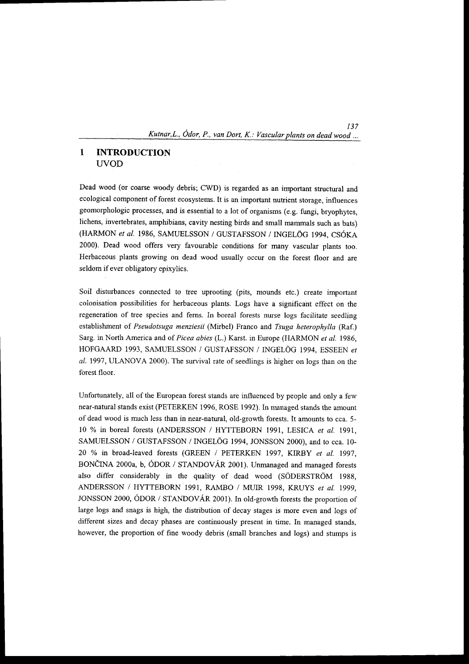#### $\mathbf{1}$ INTRODUCTION {JVOD

Dead wood (or coarse woody debris; CWD) is regarded as an important structural and ecological component of forest ecosystems. It is an important nutrient storage, influences geomorphologic processes, and is essential to a lot of organisms (e.g. fungi, bryophytes, lichens, invertebrates, amphibians, cavity nesting birds and small mammals such as bats) (HARMON et al. 1986, SAMUELSSON / GUSTAFSSON / INGELÖG 1994, CSÓKA 2000). Dead wood offers very favourable conditions for many vascular plants too. Herbaceous plants growing on dead wood usually occur on the forest floor and are seldom if ever obligatory epixylics.

Soil disfurbances connected to tree uprooting (pits, mounds etc.) create important colonisation possibilities for herbaceous plants. Logs have a significant effect on the regeneration of tree species and ferns. In boreal forests nurse logs facilitate seedling establishment of Pseudotsuga menziesii (Mirbel) Franco and Tsuga heterophylla (Raf.) Sarg. in North America and of Picea abies (L.) Karst. in Europe (HARMON et al. 1986, HOFGAARD 1993, SAMUELSSON / GUSTAFSSON / INGELÖG 1994, ESSEEN et al. 1997, ULANOVA 2000). The survival rate of seedlings is higher on logs than on the forest floor.

Unfortunately, all of the European forest stands are influenced by people and only a few near-natural stands exist (PETERKEN 1996, ROSE 1992). In managed stands the amount of dead wood is much less than in near-natural, old-growth forests. It amounts to cca. 5- 10 % in boreal forests (ANDERSSON / HYTTEBORN 1991, LESICA et al. 1991, SAMUELSSON / GUSTAFSSON / INGELÖG 1994, JONSSON 2000), and to cca. 10-20 % in broad-leaved forests (GREEN / PETERKEN 1997, KIRBY et al. 1997, BONČINA 2000a, b, ÓDOR / STANDOVÁR 2001). Unmanaged and managed forests also differ considerably in the quality of dead wood (SODERSTROM 1988, ANDERSSON / HYTTEBORN 1991, RAMBO / MUIR 1998, KRUYS et al. 1999, JONSSON 2000, ODOR / STANDOVAR 2001). In old-growth forests the proportion of large logs and snags is high, the distribution of decay stages is more even and logs of different sizes and decay phases are continuously present in time. In managed stands, however, the proportion of fine woody debris (small branches and logs) and stumps is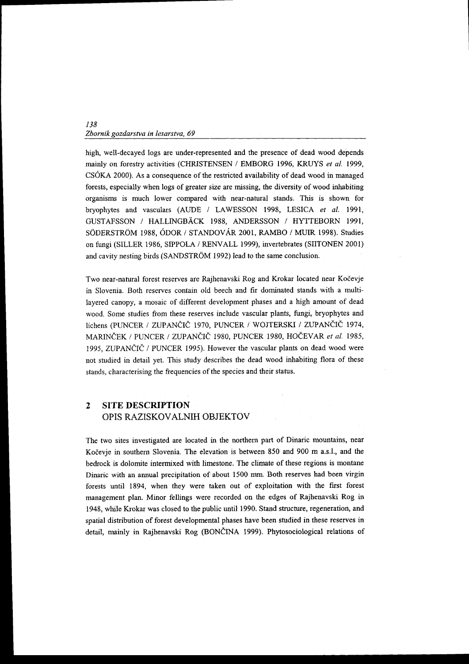high, well-decayed logs are under-represented and the presence of dead wood depends mainly on forestry activities (CHRISTENSEN / EMBORG 1996, KRUYS et al. 1999, CSOKA 2000). As a consequence of the restricted availability of dead wood in managed forests, especially when logs of greater size are missing, the diversity of wood inhabiting organisms is much lower compared with near-natural stands. This is shown for bryophytes and vasculars (AUDE / LAWESSON 1998, LESICA et al. 1991, GUSTAFSSON / HALLINGBACK 1988, ANDERSSON / HYTTEBORN 1991, SÖDERSTRÖM 1988, ÓDOR / STANDOVÁR 2001, RAMBO / MUIR 1998). Studies on fungi (SILLER 1986, SIPPOLA / RENVALL 1999), invertebrates (SIITONEN 2001) and cavity nesting birds (SANDSTRÖM 1992) lead to the same conclusion.

Two near-natural forest reserves are Rajhenavski Rog and Krokar located near Kočevje in Slovenia. Both reserves contain old beech and fir dominated stands with a multilayered canopy, a mosaic of different development phases and a high amount of dead wood. Some studies from these reserves include vascular plants, fungi, bryophytes and lichens (PUNCER / ZUPANČIČ 1970, PUNCER / WOJTERSKI / ZUPANČIČ 1974, MARINČEK / PUNCER / ZUPANČIČ 1980, PUNCER 1980, HOČEVAR et al. 1985, 1995, ZUPANČIČ / PUNCER 1995). However the vascular plants on dead wood were not studied in detail yet. This study describes the dead wood inhabiting flora of these stands, characterising the frequencies of the species and their status.

### $\overline{2}$ SITE DESCRIPTION OPIS RAZISKOVALNIH OBJEKTOV

The two sites investigated are located in the northern part of Dinaric mountains, near Kočevje in southern Slovenia. The elevation is between 850 and 900 m a.s.l., and the bedrock is dolomite intermixed with limestone. The climate of these regions is montane Dinaric with an annual precipitation of about 1500 mm. Both reserves had been virgin forests until 1894, when they were taken out of exploitation with the first forest management plan. Minor fellings were recorded on the edges of Rajhenavski Rog in 1948, while Krokar was closed to the public until 1990. Stand structure, regeneration, and spatial distribution of forest developmental phases have been studied in these reserves in detail, mainly in Rajhenavski Rog (BONČINA 1999). Phytosociological relations of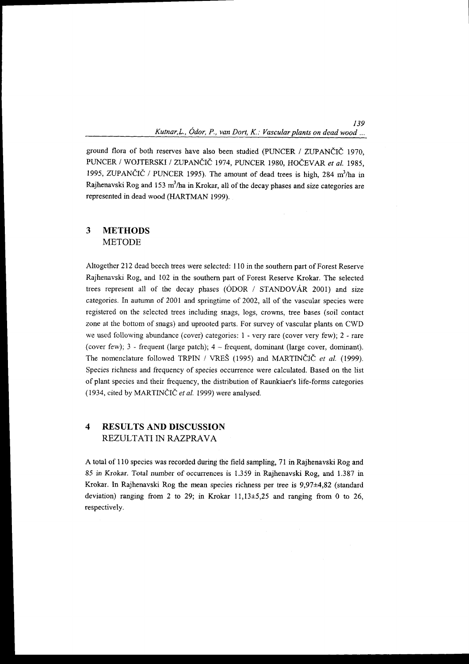139

ground flora of both reserves have also been studied (PUNCER / ZUPANČIČ 1970, PUNCER / WOJTERSKI / ZUPANČIČ 1974, PUNCER 1980, HOČEVAR et al. 1985, 1995, ZUPANCIC / PUNCER 1995). The amount of dead trees is high, 284 m<sup>3</sup>/ha in Rajhenavski Rog and 153 m<sup>3</sup>/ha in Krokar, all of the decay phases and size categories are represented in dead wood (HARTMAN 1999).

#### 3 METHODS METODE

Altogether 212 dead beech trees were selected: 110 in the southern part of Forest Reserve Rajhenavski Rog, and 102 in the southern part of Forest Reserve Krokar. The selected trees represent all of the decay phases (ODOR / STANDOVAR 2001) and size categories. In autumn of 2001 and springtime of 2002, all of the vascular species were registered on the selected trees including snags, logs, crowns, tree bases (soil contact zone at the bottom of snags) and uprooted parts. For survey of vascular plants on CWD we used following abundance (cover) categories: 1 - very rare (cover very few); 2 - rare (cover few); 3 - frequent (large patch); 4 - frequent, dominant (large cover, dominant). The nomenclature followed TRPIN / VREŠ (1995) and MARTINČIČ et al. (1999). Species richness and frequency of species occurrence were calculated. Based on the list of plant species and their frequency, the distribution of Raunkiaer's life-forms categories (1934, cited by MARTINČIČ et al. 1999) were analysed.

#### $\overline{\mathbf{4}}$ RESULTS AND DISCUSSION REZULTATI IN RAZPRAVA

A total of I l0 species was recorded during the field sampling, 7l in Rajhenavski Rog and 85 in Krokar. Total number of occurrences is 1.359 in Rajhenavski Rog, and 1.387 in Krokar. In Rajhenavski Rog the mean species richness per tree is  $9.97 \pm 4.82$  (standard deviation) ranging from 2 to 29; in Krokar  $11,13\pm5,25$  and ranging from 0 to 26, respectively.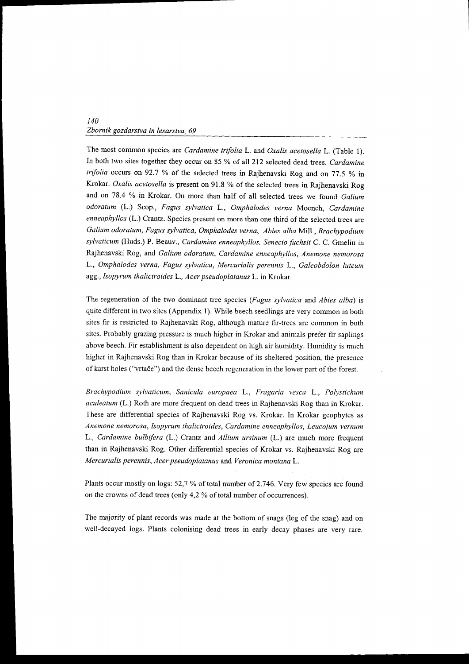The most common species are *Cardamine trifolia* L. and *Oxalis acetosella* L. (Table 1). In both two sites together they occur on 85 % of all 212 selected dead trees. Cardamine trifolia occurs on 92.7 % of the selected trees in Rajhenavski Rog and on 77.5 % in Krokar. Oxalis acetosella is present on 91.8 % of the selected trees in Rajhenavski Rog and on 78.4 % in Krokar. On more than half of all selected trees we found Galium odoratum (L.) Scop., Fagus sylvatica L., omphalodes verna Moench, cardamine enneaphyllos (L.) Crantz. Species present on more than one third of the selected trees are Galium odoratum, Fagus sylvatica, Omphalodes verna, Abies alba Mill., Brachypodium sylvaticum (Huds.) P. Beauv., Cardamine enneaphyllos, Senecio fuchsii C. C. Gmelin in Rajhenavski Rog, and Galium odoratum, Cardamine enneaphyllos, Anemone nemorosa L., Omphalodes verna, Fagus sylvatica, Mercurialis perennis L., Galeobdolon luteum agg., Isopyrum thalictroides L., Acer pseudoplatanus L. in Krokar.

The regeneration of the two dominant tree species (*Fagus sylvatica* and *Abies alba*) is quite different in two sites (Appendix 1). While beech seedlings are very common in both sites fir is restricted to Rajhenavski Rog, although rnature fir-trees are corrunon in both sites. Probably grazing pressure is much higher in Krokar and animals prefer fir saplings above beech. Fir establishment is also dependent on high air humrdity. Humidity is much higher in Rajhenavski Rog than in Krokar because of its sheltered position, the presence of karst holes ("vrtače") and the dense beech regeneration in the lower part of the forest.

Brachypodium sylvaticum, Sanicula europaea L., Fragaria yesca L., Polystichum aculeatum (L.) Roth are more frequent on dead trees in Rajhenavski Rog than in Krokar. These are differential species of Rajhenavski Rog vs. Krokar. In Krokar geophytes as Anemone nemorosa, Isopyrum thalictroides, Cardamine enneaphyllos, Leucojum vernunt L. Cardamine bulbifera (L.) Crantz and Allium ursinum (L.) are much more frequent than in Rajhenavski Rog. Other differential species of Krokar vs. Rajhenavski Rog are Mercurialis perennis, Acer pseudoplatanus and Veronica montanaL.

Plants occur mostly on logs: 52,7 % of total number of 2.746. Very few species are found on the crowns of dead trees (only  $4.2$  % of total number of occurrences).

The majority of plant records was made at the bottom of snags (leg of the snag) and on well-decayed logs. Plants colonising dead trees in early decay phases are very rare.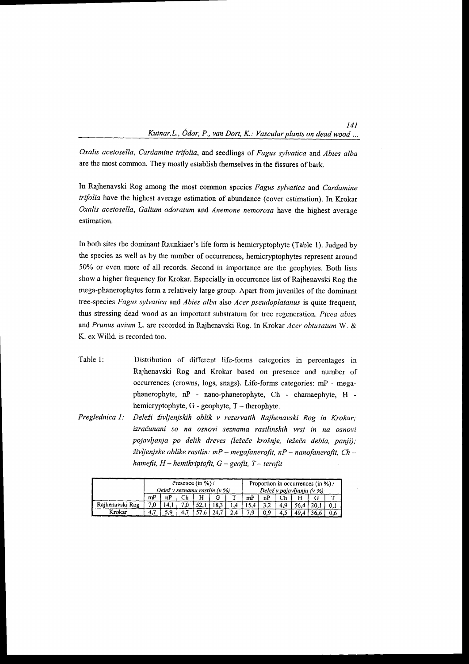Oxalis acetosella, Cardamine trifolia, and seedlings of Fagus sylvatica and Abies alba are the most common. They mostly establish themselves in the fissures of bark.

In Rajhenavski Rog among the most common species Fagus sylvatica and Cardamine trifolia have the highest average estimation of abundance (cover estimation). In Krokar Oxalis acetosella, Galium odoratum and Anemone nemorosa have the highest average estimation.

In both sites the dominant Raunkiaer's life form is hemicryptophyte (Table l). Judged by the species as well as by the number of occurrences, hemicryptophytes represent around 50Yo or even more of all records. Second in importance are the geophytes. Both lists show a higher frequency for Krokar. Especially in occurrence list of Rajhenavski Rog the mega-phanerophytes form a relatively large group. Apart from juveniles of the dominant tree-species Fagus sylvatica and Abies alba also Acer pseudoplatanus is quite frequent, thus sfressing dead wood as an important substrafum for tree regeneration. Picea abies and Prunus avlum L. are recorded in Rajhenavski Rog. In Krokar Acer obtusatum W. & K. ex Willd. is recorded too.

- Table l: Distribution of different life-forms categories in percentages in Rajhenavski Rog and Krokar based on presence and number of occurrences (crowns, logs, snags). Life-forms categories: mP - megaphanerophyte, nP - nano-phanerophyte, Ch - chamaephyte, H hemicryptophyte,  $G$  - geophyte,  $T$  - therophyte.
- Preglednica 1: Deleži življenjskih oblik v rezervatih Rajhenavski Rog in Krokar; izračunani so na osnovi seznama rastlinskih vrst in na osnovi pojavljanja po delih dreves (ležeče krošnje, ležeča debla, panji); življenjske oblike rastlin: mP - megafanerofit, nP - nanofanerofit, Ch hamefit,  $H$  - hemikriptofit,  $G$  - geofit,  $T$  - terofit

|                 | Presence $(in %) /$ |                                 |    |      |     |                           |    | Proportion in occurrences (in %)/ |  |  |  |     |
|-----------------|---------------------|---------------------------------|----|------|-----|---------------------------|----|-----------------------------------|--|--|--|-----|
|                 |                     | Delež v seznamu rastlin $(v\%)$ |    |      |     | Delež v pojavljanju (v %) |    |                                   |  |  |  |     |
|                 | mP                  |                                 | Ch |      |     |                           | mP | nP                                |  |  |  |     |
| Rajhenavski Rog |                     |                                 |    | ۰– ۱ | 8.3 |                           |    |                                   |  |  |  |     |
| Krokar          |                     |                                 |    | --   |     |                           | 70 |                                   |  |  |  | 0.6 |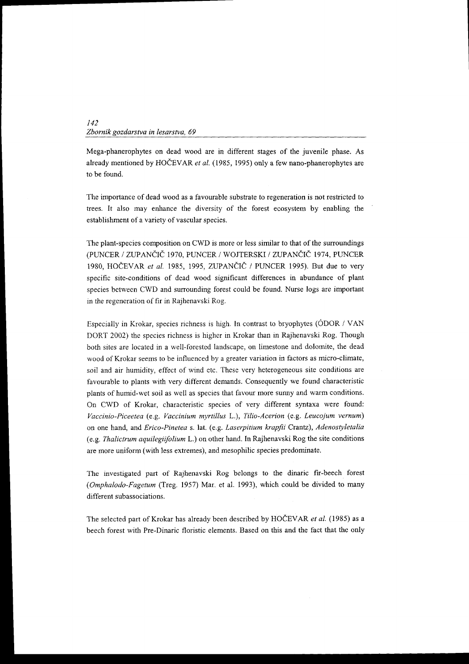Mega-phanerophytes on dead wood are in different stages of the juvenile phase. As already mentioned by HOČEVAR et al. (1985, 1995) only a few nano-phanerophytes are to be found.

The importance of dead wood as a favourable substrate to regeneration is not restricted to trees. It also may enhance the diversity of the forest ecosystem by enabling the establishment of a variety of vascular species.

The plant-species composition on CWD is more or less similar to that of the surroundings (PUNCER / ZUPANČIČ 1970, PUNCER / WOJTERSKI / ZUPANČIČ 1974, PUNCER 1980, HOČEVAR et al. 1985, 1995, ZUPANČIČ / PUNCER 1995). But due to very specific site-conditions of dead wood significant differences in abundance of plant species between CWD and surrounding forest could be found. Nurse logs are important in the regeneration of fir in Rajhenavski Rog.

Especially in Krokar, species richness is high. In contrast to bryophytes (ODOR / VAN DORT 2002) the species richness is higher in Krokar than in Rajhenavski Rog. Though both sites are located in a well-forested landscape, on limestone and dolomite, the dead wood of Krokar seems to be influenced by a greater variation in factors as micro-climate, soil and air humidity, effect of wind etc. These very heterogeneous site conditions are favourable to plants with very different demands. Consequently we found characteristic plants of humid-wet soil as well as species that favour more sunny and warm conditions. On CWD of Krokar, characteristic species of very different syntaxa were found: Vaccinto-Piceetea (e.g. Vaccinium myrtillus L.), Tilio-Acerion (e.g. Leucoium vernum) on one hand, and Erico-Pinetea s. lat. (e.g. Laserpitium krapfii Crantz), Adenostyletalia (e.g. Thalictrum aquilegiifulium L.) on other hand. In Rajhenavski Rog the site conditions are more uniform (with less extremes), and mesophilic species predominate.

The investigated part of Rajhenavski Rog belongs to the dinaric fir-beech forest (Omphalodo-Fagetum (Treg. 1957) Mar. et al. 1993), which could be divided to many different subassociations.

The selected part of Krokar has already been described by HOČEVAR et al. (1985) as a beech forest with Pre-Dinaric floristic elements. Based on this and the fact that the only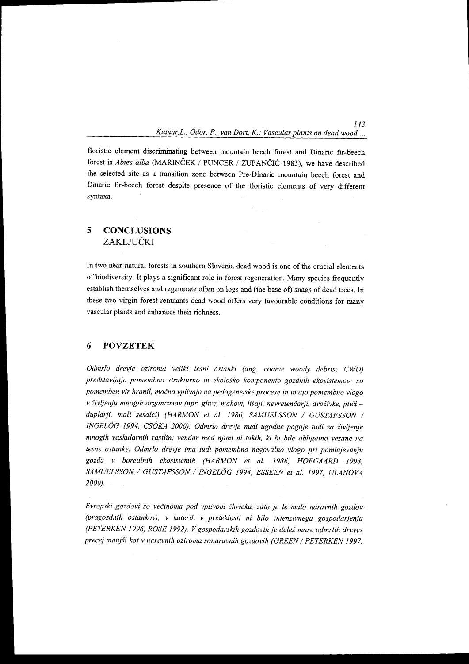r43

floristic element discriminating between mountain beech forest and Dinaric fir-beech forest is *Abies alba* (MARINČEK / PUNCER / ZUPANČIČ 1983), we have described the selected site as a ffansition zone between Pre-Dinaric mountain beech forest and Dinaric fir-beech forest despite presence of the floristic elements of very different syntaxa.

# 5 CONCLUSIONS ZAKLJUČKI

In two near-natural forests in southern Slovenia dead wood is one of the crucial elements of biodiversity. It plays a significant role in forest regeneration. Many species ftequently establish themselves and regenerate often on logs and (the base of) snags of dead trees. In these two virgin forest remnants dead wood offers very favourable conditions for many vascular plants and enhances their richness.

#### 6 POVZETEK

Odmrlo drevje oziroma veliki lesni ostanki (ang. coarse woody debris; CWD) predstavljajo pomembno strukturno in ekološko komponento gozdnih ekosistemov: so pomemben vir hranil, močno vplivajo na pedogenetske procese in imajo pomembno vlogo v življenju mnogih organizmov (npr. glive, mahovi, lišaji, nevretenčarji, dvoživke, ptiči duplarji, mali sesalci) (HARMON et al. 1986, SAMUELSSON / GUSTAFSSON / INGELÖG 1994, CSÓKA 2000). Odmrlo drevje nudi ugodne pogoje tudi za življenje mnogih vaskularnih rastlin; vendar med njimi ni takih, ki bi bile obligatno vezane na lesne ostanke. Odmrlo drevje ima tudi pomembno negovalno vlogo pri pomlajevanju gozda y borealnih ekosistemih (HARMON et al. 1986, HOFGAARD 1993, SAMUELSSON / GUSTAFSSON / INGELÖG 1994, ESSEEN et al. 1997, ULANOVA 2000.

Evropski gozdovi so večinoma pod vplivom človeka, zato je le malo naravnih gozdov (pragozdnih ostankov), v katerih v preteklosti ni bilo intenzivnega gospodarjenja (PETERKEN 1996, ROSE 1992). V gospodarskih gozdovih je delež mase odmrlih dreves precej manjši kot v naravnih oziroma sonaravnih gozdovih (GREEN / PETERKEN 1997,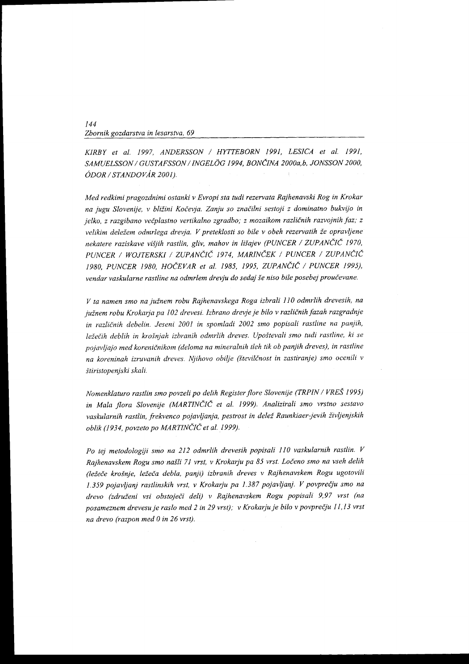KIRBY et al. 1997, ANDERSSON / HYTTEBORN 1991, LESICA et al. 1991, SAMUELSSON / GUSTAFSSON / INGELÖG 1994, BONČINA 2000a,b, JONSSON 2000, ÓDOR / STANDOVÁR 2001).

Med redkimi pragozdnimi ostanki v Evropi sta tudi rezervata Rajhenavski Rog in Krokar na jugu Slovenije, v bližini Kočevja. Zanju so značilni sestoji z dominatno bukvijo in jelko, z razgibano večplastno vertikalno zgradbo; z mozaikom različnih razvojnih faz; z velikim deležem odmrlega drevja. V preteklosti so bile v obeh rezervatih že opravljene nekatere raziskave višjih rastlin, gliv, mahov in lišajev (PUNCER / ZUPANČIČ 1970, PUNCER / WOJTERSKI / ZUPANČIČ 1974, MARINČEK / PUNCER / ZUPANČIČ 1980, PUNCER 1980, HOČEVAR et al. 1985, 1995, ZUPANČIČ / PUNCER 1995), vendar vaskularne rastline na odmrlem drevju do sedaj še niso bile posebej proučevane.

V ta namen smo na južnem robu Rajhenavskega Roga izbrali 110 odmrlih drevesih, na južnem robu Krokarja pa 102 drevesi. Izbrano drevje je bilo v različnih fazah razgradnje in različnih debelin. Jeseni 2001 in spomladi 2002 smo popisali rastline na panjih, ležečih deblih in krošnjah izbranih odmrlih dreves. Upoštevali smo tudi rastline, ki se pojavljajo med koreničnikom (deloma na mineralnih tleh tik ob panjih dreves), in rastline na koreninah izruvanih dreves. Njihovo obilje (številčnost in zastiranje) smo ocenili v štir i stopenjski skali.

Nomenklaturo rastlin smo povzeli po delih Register flore Slovenije (TRPIN / VRES 1995) in Mala flora Slovenije (MARTINCIC et al. 1999). Analizirali smo vrstno sestavo vaskularnih rastlin, frekvenco pojavljanja, pestrost in delež Raunkiaer-jevih življenjskih oblik (1934, povzeto po MARTINČIČ et al. 1999).

Po tej metodologiji smo na 212 odmrlih drevesih popisali 110 vaskularnih rastlin. V Rajhenavskem Rogu smo našli 71 vrst, v Krokarju pa 85 vrst. Ločeno smo na vseh delih (ležeče krošnje, ležeča debla, panji) izbranih dreves v Rajhenavskem Rogu ugotovili 1.359 pojavljanj rastlinskih vrst, v Krokarju pa 1.387 pojavljanj. V povprečju smo na drevo (združeni vsi obstoječi deli) v Rajhenavskem Rogu popisali 9,97 vrst (na posameznem drevesu je raslo med 2 in 29 vrst); v Krokarju je bilo v povprečju 11,13 vrst na drevo (razpon med 0 in 26 vrst).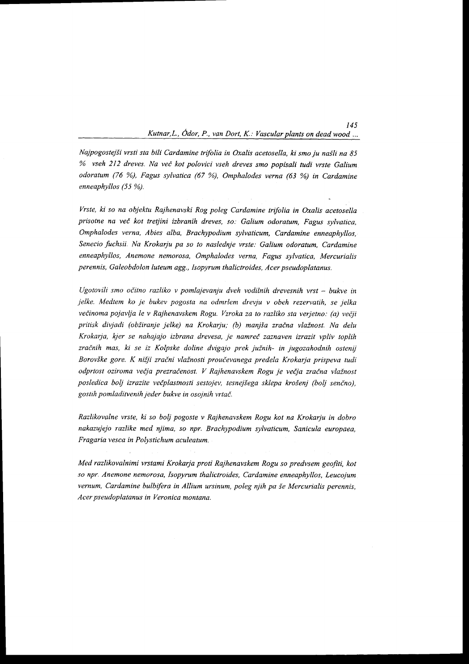145

Najpogostejši vrsti sta bili Cardamine trifolia in Oxalis acetosella, ki smo ju našli na 85 % vseh 212 dreves. Na vei kot polovici vseh dreves smo popisali tudi vrste Galium odoratum (76 %), Fagus sylvatica (67 %), Omphalodes verna (63 %) in Cardamine enneaphyllos (55 %).

Vrste, ki so na objektu Rajhenavski Rog poleg Cardamine trifolia in Oxalis acetosella prisotne na več kot tretjini izbranih dreves, so: Galium odoratum, Fagus sylvatica, Omphalodes verna, Abies alba, Brachypodium sylvaticum, Cardamine enneaphyllos, Senecio fuchsii. Na Krokarju pa so to naslednje vrste: Galium odoratum, Cardamine enneaphyllos, Anemone nemorosa, Omphalodes verna, Fagus sylvatica, Mercurialis perennis, Galeobdolon luteum agg., Isopyrum thalictroides, Acer pseudoplatanus.

Ugotovili smo očitno razliko v pomlajevanju dveh vodilnih drevesnih vrst  $-$  bukve in jelke. Medtem ko je bukev pogosta na odmrlem drevju v obeh rezervatih, se jelka večinoma pojavlja le v Rajhenavskem Rogu. Vzroka za to razliko sta verjetno: (a) večji pritisk divjadi (obžiranje jelke) na Krokarju; (b) manjša zračna vlažnost. Na delu Krokarja, kjer se nahajajo izbrana drevesa, je namreč zaznaven izrazit vpliv toplih zračnih mas, ki se iz Kolpske doline dvigajo prek južnih- in jugozahodnih ostenij Borovške gore. K nižji zračni vlažnosti proučevanega predela Krokarja prispeva tudi odprtost oziroma večja prezračenost. V Rajhenavskem Rogu je večja zračna vlažnost posledica bolj izrazite večplastnosti sestojev, tesnejšega sklepa krošenj (bolj senčno), gostih pomladitvenih jeder bukve in osojnih vrtač.

Razlikovalne vrste, ki so bolj pogoste v Rajhenavskem Rogu kot na Krokarju in dobro nakazujejo razlike med njima, so npr. Brachypodium sylvaticum, Sanicula europaea, Fragaria vesca in Polystichum aculeatum.

Med razlikovalnimi vrstami Krokarja proti Rajhenavskem Rogu so predvsem geofiti, kot so npr. Anemone nemorosa, Isopyrum thalictroides, Cardamine enneaphyllos, Leucojum vernum, Cardamine bulbifera in Allium ursinum, poleg njih pa še Mercurialis perennis, Acer pseudoplatanus in Veronica montana.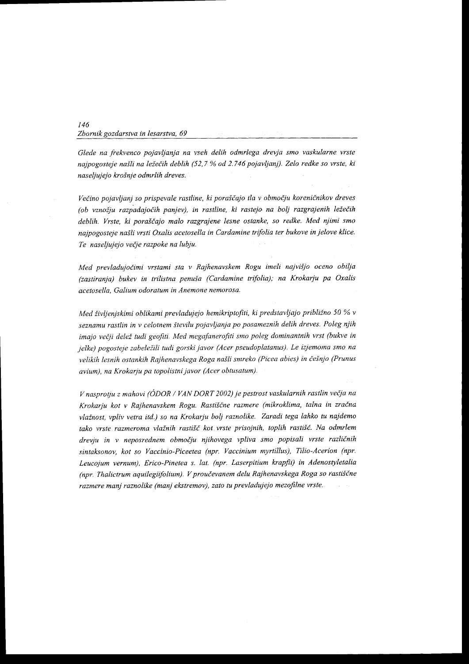Glede na frekvenco pojavljanja na vseh delih odmrlega drevja smo vaskularne vrste najpogosteje našli na ležečih deblih (52,7 % od 2.746 pojavljanj). Zelo redke so vrste, ki nas eljujejo krošnje odmrlih dreves.

Večino pojavljanj so prispevale rastline, ki poraščajo tla v območju koreničnikov dreves (ob vznožju razpadajočih panjev), in rastline, ki rastejo na bolj razgrajenih ležečih deblih. Vrste, ki poraščajo malo razgrajene lesne ostanke, so redke. Med njimi smo naipogosteje našli vrsti Oxalis acetosella in Cardamine trifolia ter bukove in jelove klice. Te naseljujejo večje razpoke na lubju.

Med prevladujočimi vrstami sta v Rajhenavskem Rogu imeli najvišjo oceno obilja (zastiranja) bukev in trilistna penuša (Cardamine trifolia); na Krokarju pa Oxalis acetosella, Galium odoratum in Anemone nemorosa.

Med življenjskimi oblikami prevladujejo hemikriptofiti, ki predstavljajo približno 50 % v seznamu rastlin in v celotnem številu pojavljanja po posameznih delih dreves. Poleg njih imajo večji delež tudi geofiti. Med megafanerofiti smo poleg dominantnih vrst (bukve in jelke) pogosteje zabeležili tudi gorski javor (Acer pseudoplatanus). Le izjemoma smo na velikih lesnih ostankih Rajhenavskega Roga našli smreko (Picea abies) in češnjo (Prunus avium), na Krokarju pa topolistni javor (Acer obtusatum).

V nasprotju z mahovi (ÓDOR / VAN DORT 2002) je pestrost vaskularnih rastlin večja na Krokarju kot v Rajhenavskem Rogu. Rastiščne razmere (mikroklima, talna in zračna vlažnost, vpliv vetra itd.) so na Krokarju bolj raznolike. Zaradi tega lahko tu najdemo tako vrste razmeroma vlažnih rastišč kot vrste prisojnih, toplih rastišč. Na odmrlem drevju in v neposrednem območju njihovega vpliva smo popisali vrste različnih sintaksonov, kot so Vaccinio-Piceetea (npr. Vaccinium myrtillus), Tilio-Acerion (npr. Leucojum vernum), Erico-Pinetea s. lat. (npr. Laserpitium krapfii) in Adenostyletalia  $(npr.$  Thalictrum aquilegiifolium). V proučevanem delu Rajhenavskega Roga so rastiščne razmere manj raznolike (manj ekstremov), zato tu prevladujejo mezofilne vrste.

146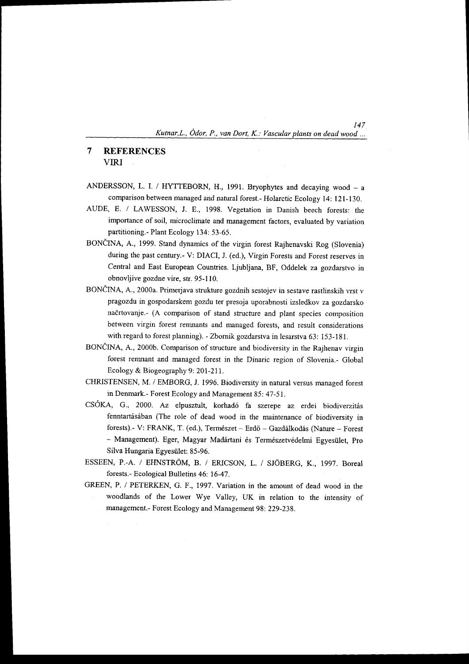147

#### $\overline{7}$ **REFERENCES** VIRI

- ANDERSSON, L. I. / HYTTEBORN, H., 1991. Bryophytes and decaying wood a comparison between managed and natural forest.- Holarctic Ecology 14: 121-130.
- AUDE, E. / LAWESSON, J. E., 1998. Vegetation in Danish beech forests: the inrportance of soil, microclimate and management factors, evaluated by variation partitioning.- Plant Ecology 134: 53-65.
- BONČINA, A., 1999. Stand dynamics of the virgin forest Rajhenavski Rog (Slovenia) during the past century.- V: DIACI, J. (ed.), Virgin Forests and Forest reserves in Central and East European Countries. Ljubljana, BF, Oddelek za gozdarstvo in obnovljive gozdne vire, str. 95-110.
- BONČINA, A., 2000a. Primerjava strukture gozdnih sestojev in sestave rastlinskih vrst v pragozdu in gospodarskem gozdu ter presoja uporabnosti izsledkov za gozdarsko nadrtovanje.- (A comparison of stand strucfure and plant species composition between virgin forest remnants and managed forests, and result considerations with regard to forest planning). - Zbornik gozdarstva in lesarstva 63: 153-181.
- BONČINA, A., 2000b. Comparison of structure and biodiversity in the Rajhenav virgin forest remnant and managed forest in the Dinaric region of Slovenia.- Global Ecology & Biogeography 9: 201-21 1.
- CHRISTENSEN, M. / EMBORG, J. 1996. Biodiversity in natural versus managed forest in Denmark.- Forest Ecology and Management 85: 47-51.
- CSÓKA, G., 2000. Az elpusztult, korhadó fa szerepe az erdei biodiverzitás fenntartásában (The role of dead wood in the maintenance of biodiversity in forests).- V: FRANK, T. (ed.), Természet - Erdő - Gazdálkodás (Nature - Forest - Management). Eger, Magyar Madártani és Természetvédelmi Egyesület, Pro Silva Hungaria Egyesiilet: 85-96.
- ESSEEN, P.-A. / EHNSTRÖM, B. / ERICSON, L. / SJÖBERG, K., 1997. Boreal forests.- Ecological Bulletins 46: 16-47.
- GREEN, P. / PETERKEN, G. F., 1997. variation in the amount of dead wood in the woodlands of the Lower Wye Valley, UK in relation to the intensity of management.- Forest Ecology and Management 98: 229-238.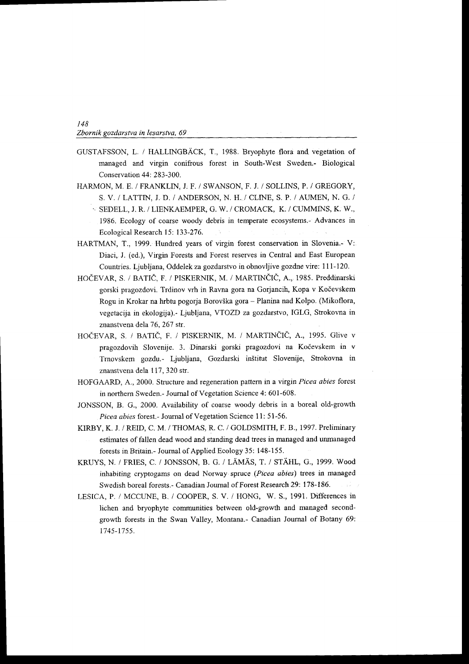- GUSTAFSSON, L. / HALLINGBACK, T., 1988. Bryophyte flora and vegetation of managed and virgin conifrous forest in South-West Sweden.- Biological Conservation 44: 283-300.
- HARMON, M. E. I FRANKLIN, J; F. / SWANSON, F. J. / SOLLINS, P. / GREGORY, S. V. / LATTIN, J. D. / ANDERSON, N. H.. / CLINE, S. P. / AUMEN, N. G. /
	- . SEDELL, J. R. / LIENKAEMPER, G. W. / CROMACK, K. / CUMMINS, K. W., 1986. Ecology of coarse woody debris in temperate ecosystems.- Advances in Ecological Research l5: 133-276.
- HARTMAN, T., 1999. Hundred years of virgin forest conservation in Slovenia.- V: Diaci, J. (ed.), Virgin Forests and Forest reserves in Central and East European Countries. Ljubljana, Oddelek za gozdarstvo in obnovljive gozdne vire: I I l-120.
- HOČEVAR, S. / BATIČ, F. / PISKERNIK, M. / MARTINČIČ, A., 1985. Preddinarski gorski pragozdovi. Trdinov vrh in Ravna gora na Gorjancih, Kopa v Kočevskem Rogu in Krokar na hrbtu pogorja Borov5ka gora - Planina nad Kolpo. (Mikoflora, vegetacija in ekologija).- Ljubljana, VTOZD za gozdarstvo, IGLG, Strokovna in znanstvena dela 76, 267 str.
- HOČEVAR, S. / BATIČ, F. / PISKERNIK, M. / MARTINČIČ, A., 1995. Glive v pragozdovih Slovenije. 3. Dinarski gorski pragozdovi na Kočevskem in v Trnovskem gozdu.- Ljubljana, Gozdarski inštitut Slovenije, Strokovna in znanstvena dela 1 17, 320 str.
- HOFGAARD, A., 2000. Structure and regeneration pattern in a virgin Picea abies forest in northern Sweden.- Joumal of Vegetation Science 4: 601-608.
- JONSSON, B. G., 2000. Availability of coarse woody debris in a boreal old-growth Picea abies forest.- Journal of Vegetation Science 11: 51-56.
- KIRBY, K. J. / REID, C. M. / THOMAS, R. C. / GOLDSMITH, F. B., 1997. Preliminary estimates of fallen dead wood and standing dead trees in managed and unrnanaged forests in Britain.- Journal of Applied Ecology 35: 148-155.
- KRUYS, N. / FRIES, C. / JONSSON, B. G. / LÄMÄS, T. / STÄHL, G., 1999. Wood inhabiting cryptogams on dead Norway spruce (Picea abies) trees in managed Swedish boreal forests.- Canadian Joumal of Forest Research 29: 178-186.
- LESICA, P. / MCCLINE, B. / COOPER, S. V. / HONG, W. S., 1991. Differences in lichen and bryophyte communities between old-growth and managed secondgrowth forests in the Swan Valley, Montana.- Canadian Joumal of Botany 69: 1745-1755.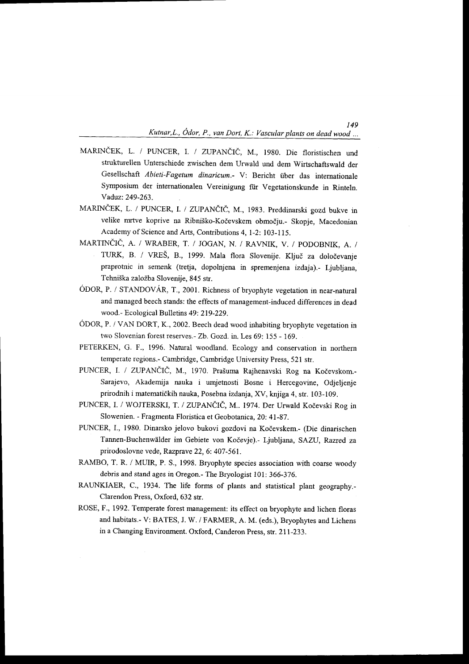149

- MARINČEK, L. / PUNCER, I. / ZUPANČIČ, M., 1980. Die floristischen und strukturellen Unterschiede zwischen dem Urwald und dem Wirtschaftswald der Gesellschaft Abieti-Fagetum dinaricum.- V: Bericht iiber das internationale Symposium der internationalen Vereinigung fiir Vegetationskunde in Rinteln. Vaduz: 249-263.
- MARINČEK, L. / PUNCER, I. / ZUPANČIČ, M., 1983. Preddinarski gozd bukve in velike mrtve koprive na Ribniško-Kočevskem območju.- Skopje, Macedonian Academy of Science and Arts, Contributions 4, 1-2: 103-115.
- MARTINEIC, A. / WRABER, T. / JOGAN, N. / RAVNIK, V. / PODOBNIK. A. / TURK, B. / VREŠ, B., 1999. Mala flora Slovenije. Ključ za določevanje praprotnic in semenk (tretja, dopolnjena in spremenjena izdaja).- Ljubljana, Tehniška založba Slovenije, 845 str.
- ÓDOR, P. / STANDOVÁR, T., 2001. Richness of bryophyte vegetation in near-natural and managed beech stands: the effects of management-induced differences in dead wood.- Ecological Bulletins 49: 219-229.
- ODOR, P. / VAN DORT, K., 2002. Beech dead wood inhabiting bryophyre vegeration in two Slovenian forest reserves.- Zb. Gozd. in. Les 69: 155 - 169.
- PETERKEN, G. F., 1996. Natural woodland. Ecology and conservation in northern temperate regions.- Cambridge, Cambridge University Press, 521 str.
- PUNCER, I. / ZUPANČIČ, M., 1970. Prašuma Rajhenavski Rog na Kočevskom.-Sarajevo, Akademija nauka i umjetnosti Bosne i Hercegovine, Odjeljenje prirodnih i matematidkih nauka, Posebna izdanja, XV, knjiga 4, sfr. 103-109.
- PUNCER, I. / WOJTERSKI, T. / ZUPANČIČ, M., 1974. Der Urwald Kočevski Rog in Slowenien. - Fragmenta Floristica et Geobotanica, 20: 41-87.
- PUNCER, I., 1980. Dinarsko jelovo bukovi gozdovi na Kočevskem.- (Die dinarischen Tannen-Buchenwälder im Gebiete von Kočevje).- Ljubljana, SAZU, Razred za prirodoslovne vede, Razprave 22, 6: 407 -561.
- RAMBO, T. R. / MUIR, P. S., 1998. Bryophyte species association with coarse woody debris and stand ages in Oregon.- The Bryologist l0l: 366-376.
- RAUNKIAER, C., 1934. The life forms of plants and statistical plant geography.-Clarendon Press, Oxford, 632 str.
- ROSE, F., 1992. Temperate forest management: its effect on bryophyte and lichen floras and habitats.- V: BATES, J. W. / FARMER, A. M. (eds.), Bryophytes and Lichens in a Changing Environment. Oxford, Canderon Press, str. 2ll-233.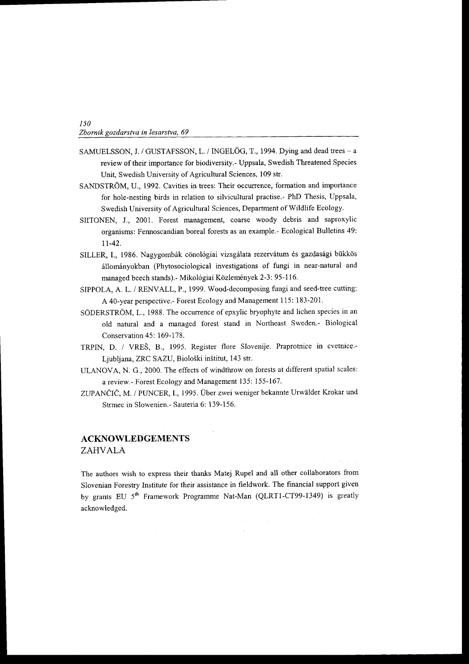- SAMUELSSON, J. / GUSTAFSSON, L. / INGELÖG, T., 1994. Dying and dead trees a review of their importance for biodiversity.- Uppsala, Swedish Threatened Species Unit, Swedish University of Agricultural Sciences, 109 str.
- SANDSTRÖM, U., 1992. Cavities in trees: Their occurrence, formation and importance for hole-nesting birds in relation to silvicultural practise.. PhD Thesis, Uppsala, Swedish University of Agricultural Sciences, Department of Wildlife Ecology.
- SIITONEN, J.,2001. Forest management, coarse woody debris and saproxylic organisms: Fennoscandian boreal forests as an example.- Ecological Bulletins 49: 1t-42.
- SILLER, I., 1986. Nagygombák cönológiai vizsgálata rezervátum és gazdasági bükkös állományokban (Phytosociological investigations of fungi in near-natural and managed beech stands).- Mikológiai Közlemények 2-3: 95-116.
- SIPPOLA, A. L. / RENVALL, P., 1999. Wood-decomposing fungi and seed-tree cutting: A 40-year perspective.- Forest Ecology and Management I 15: 183-201.
- 5\$DERSTROM, L., 1988. The occurrence of epxylic bryophyte and lichen species in an old natural and a managed forest stand in Northeast Sweden.- Biological Conservation 45: 169-178.
- TRPIN, D. / VRES, 8., 1995. Register flore Slovenije. Praprotnice in cvetnice.- Ljubljana, ZRC SAZU, Biološki inštitut, 143 str.
- ULANOVA, N. G., 2000. The effects of windthrow on forests at different spatial scales: a review.- Forest Ecology and Management 135: 155-161 .
- ZUPANČIČ, M. / PUNCER, I., 1995. Über zwei weniger bekannte Urwälder Krokar und Strmec in Slowenien.- Sauteria 6: 139-156.

## ACKNOWLEDGEMENTS ZAHVALA

The authors wish to express their thanks Matej Rupel and all other collaborators from Slovenian Forestry Institute for their assistance in fieldwork. The financial support given by grants EU 5<sup>th</sup> Framework Programme Nat-Man (QLRT1-CT99-1349) is greatly acknowledged.

 $\sim 10^7$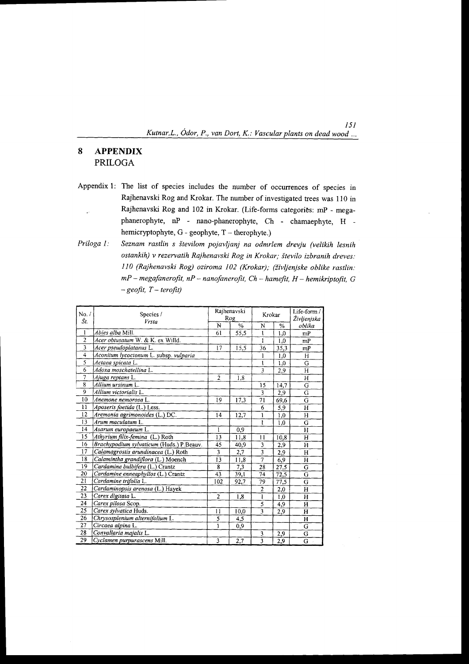#### 8 **APPENDIX PRILOGA**

- Appendix 1: The list of species includes the number of occurrences of species in Rajhenavski Rog and Krokar. The number of investigated trees was 110 in Rajhenavski Rog and 102 in Krokar. (Life-forms categories: mP - megaphanerophyte, nP - nano-phanerophyte, Ch - chamaephyte, H hemicryptophyte,  $G$  - geophyte,  $T$  – therophyte.)
- Seznam rastlin s številom pojavljanj na odmrlem drevju (velikih lesnih Priloga 1: ostankih) v rezervatih Rajhenavski Rog in Krokar; število izbranih dreves: 110 (Rajhenavski Rog) oziroma 102 (Krokar); (življenjske oblike rastlin:  $mP$  – megafanerofit,  $nP$  – nanofanerofit,  $Ch$  – hamefit,  $H$  – hemikriptofit,  $G$  $-$  geofit,  $T$  – terofit)

| No. /                   | Species /                                |                 | Rajhenavski | Krokar                  |                 | Life-form /           |
|-------------------------|------------------------------------------|-----------------|-------------|-------------------------|-----------------|-----------------------|
| Št.                     | Vrsta                                    | N               | Rog<br>$\%$ | N                       | $\frac{0}{0}$   | Življenjska<br>oblika |
| 1                       | Abies alba Mill.                         | 61              | 55,5        | 1                       | 1,0             | mP                    |
| $\overline{2}$          | Acer obtusatum W. & K. ex Willd.         |                 |             | Ī                       | 1,0             | mP                    |
| $\overline{3}$          | Acer pseudoplatanus L.                   | 17              | 15,5        | 36                      | 35,3            | mP                    |
| $\overline{\mathbf{4}}$ | Aconitum lycoctonum L. subsp. vulparia   |                 |             | 1                       | 1,0             | H                     |
| 5                       | Actaea spicata L.                        |                 |             | ı                       | 1,0             | G                     |
| 6                       | Adoxa moschatellina L.                   |                 |             | $\overline{3}$          | 2,9             | H                     |
| 7                       | Ajuga reptans L.                         | $\overline{2}$  | 1,8         |                         |                 | H                     |
| $\overline{8}$          | Allium ursinum L.                        |                 |             | 15                      | 14,7            | G                     |
| 9                       | Allium victorialis L.                    |                 |             | 3                       | 2,9             | G                     |
| 10                      | Anemone nemorosa L.                      | 19              | 17,3        | 71                      | 69,6            | G                     |
| 11                      | Aposeris foetida (L.) Less.              |                 |             | 6                       | 5,9             | H                     |
| 12                      | Aremonia agrimonoides (L.) DC.           | 14              | 12,7        | 1                       | 1,0             | H                     |
| 13                      | Arum maculatum L.                        |                 |             | $\mathbf{1}$            | 1,0             | $\overline{G}$        |
| 14                      | Asarum europaeum L.                      | 1               | 0,9         |                         |                 | H                     |
| 15                      | Athyrium filix-femina (L.) Roth          | 13              | 11,8        | 11                      | 10,8            | Н                     |
| 16                      | Brachypodium sylvaticum (Huds.) P.Beauv. | 45              | 40,9        | 3                       | 2,9             | H                     |
| 17                      | Calamagrostis arundinacea (L.) Roth      | $\overline{3}$  | 2,7         | $\overline{\mathbf{3}}$ | 2,9             | H                     |
| 18                      | Calamintha grandiflora (L.) Moench       | 13              | 11,8        | 7                       | 6,9             | $\mathbf H$           |
| 19                      | Cardamine bulbifera (L.) Crantz          | 8               | 7,3         | 28                      | 27,5            | G                     |
| 20                      | Cardamine enneaphyllos (L.) Crantz       | $\overline{43}$ | 39.1        | 74                      | 72,5            | G                     |
| $\overline{21}$         | Cardamine trifolia L.                    | 102             | 92,7        | 79                      | 77,5            | G                     |
| 22                      | Cardaminopsis arenosa (L.) Hayek         |                 |             | $\overline{2}$          | 2,0             | H                     |
| 23                      | Carex digitata L.                        | $\overline{2}$  | 1,8         | l                       | 1,0             | H                     |
| 24                      | Carex pilosa Scop.                       |                 |             | 5                       | 4,9             | $\mathbf H$           |
| 25                      | Carex sylvatica Huds.                    | 11              | 10,0        | 3                       | 2,9             | Н                     |
| 26                      | Chrysosplenium alternifolium L.          | 5               | 4,5         |                         |                 | H                     |
| 27                      | Circaea alpina L.                        | ï               | 0,9         |                         |                 | G                     |
| 28                      | Convallaria majalis L.                   |                 |             | 3                       | 2,9             | G                     |
| 29                      | Cyclamen purpurascens Mill.              | $\overline{3}$  | 2,7         | 3                       | $\frac{1}{2,9}$ | G                     |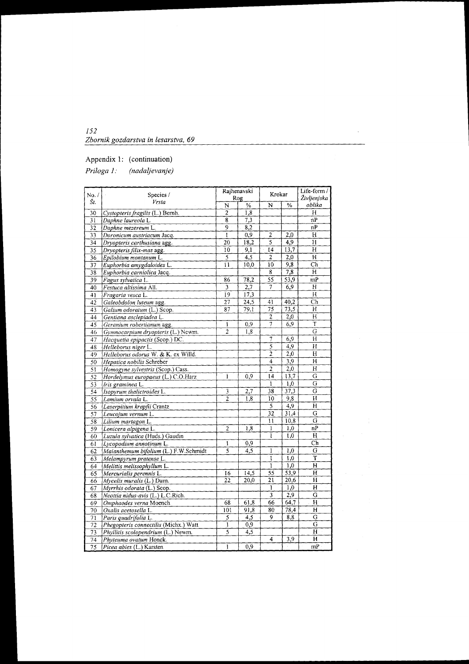| 152                                 |  |
|-------------------------------------|--|
| Zbornik gozdarstva in lesarstva, 69 |  |

# Appendix 1: (continuation)

Priloga 1: (nadaljevanje)

| No. /           | Species /                             |                 | Rajhenavski | Krokar                  |                  | Life-form $/$            |  |
|-----------------|---------------------------------------|-----------------|-------------|-------------------------|------------------|--------------------------|--|
| Št.             | Vrsta                                 |                 | Rog         |                         |                  | Življenjska              |  |
|                 |                                       | N               | $\%$        | N                       | %                | oblika                   |  |
| 30              | Cystopteris fragilis (L.) Bernh.      | $\overline{2}$  | 1,8         |                         |                  | Н                        |  |
| 31              | Daphne laureola L.                    | 8               | 7,3         |                         |                  | nP                       |  |
| $\overline{32}$ | Daphne mezereum L.                    | 9               | 8,2         |                         |                  | nP                       |  |
| 33              | Doronicum austriacum Jacq.            | l               | 0,9         | $\overline{\mathbf{c}}$ | 2.0              | Н                        |  |
| 34              | Dryopteris carthusiana agg.           | 20              | 18,2        | 5                       | 4,9              | н                        |  |
| 35              | Dryopteris filix-mas agg.             | 10              | 9.1         | 14                      | 13,7             | H                        |  |
| 36              | Epilobium montanum L.                 | 5               | 4,5         | 2                       | 2,0              | н                        |  |
| 37              | Euphorbia amygdaloides L.             | $\overline{11}$ | 10,0        | 10                      | 9,8              | $\overline{\mathbf{ch}}$ |  |
| 38              | Euphorbia carniolica Jacq.            |                 |             | 8                       | 7,8              | н                        |  |
| 39              | Fagus sylvatica L.                    | 86              | 78,2        | 55                      | 53,9             | mP                       |  |
| 40              | Festuca altissima All.                | $\mathbf{3}$    | 2,7         | 7                       | 6,9              | н                        |  |
| 41              | Fragaria vesca L.                     | 19              | 17,3        |                         |                  | Н                        |  |
| 42              | Galeobdolon luteum agg.               | 27              | 24,5        | 41                      | 40,2             | Ch                       |  |
| 43              | Galium odoratum (L.) Scop.            | 87              | 79,1        | 75                      | 73,5             | н                        |  |
| 44              | Gentiana asclepiadea L.               |                 |             | 2                       | 2,0              | H                        |  |
| 45              | Geranium robertianum agg.             | 1               | 0,9         | 7                       | 6,9              | T                        |  |
| 46              | Gymnocarpium dryopteris (L.) Newm.    | $\overline{c}$  | 1,8         |                         |                  | $\overline{G}$           |  |
| 47              | Hacquetia epipactis (Scop.) DC.       |                 |             | 7                       | 6,9              | H                        |  |
| 48              | Helleborus niger L.                   |                 |             | $\overline{5}$          | 4,9              | H                        |  |
| 49              | Helleborus odorus W. & K. ex Willd.   |                 |             | $\overline{2}$          | 2,0              | $\overline{H}$           |  |
| 50              | Hepatica nobilis Schreber             |                 |             | 4                       | $\overline{3,9}$ | H                        |  |
| 51              | Homogyne sylvestris (Scop.) Cass.     |                 |             | $\overline{2}$          | $\overline{2,0}$ | $\overline{H}$           |  |
| 52              | Hordelymus europaeus (L.) C.O.Harz    | 1               | 0,9         | [4]                     | 13,7             | Ğ                        |  |
| 53              | Iris graminea L.                      |                 |             | 1                       | 1,0              | G                        |  |
| 54              | Isopyrum thalictroides L.             | 3               | 2,7         | 38                      | 37,3             | G                        |  |
| 55              | Lamium orvala L.                      | $\overline{2}$  | 1.8         | 10                      | 9,8              | $\overline{H}$           |  |
| 56              | Laserpitium krapfii Crantz            |                 |             | 5                       | 4,9              | н                        |  |
| 57              | Leucojum vernum L.                    |                 |             | 32                      | 31,4             | $\overline{G}$           |  |
| 58              | Lilium martagon L.                    |                 |             | 11                      | 10,8             | G                        |  |
| 59              | Lonicera alpigena L.                  | $\overline{c}$  | 1.8         | $\mathbf{I}$            | 1,0              | nP                       |  |
| 60              | Luzula sylvatica (Huds.) Gaudin       |                 |             | ī                       | $\overline{1,0}$ | H                        |  |
| 61              | Lycopodium annotinum L.               | I               | 0,9         |                         |                  | $\overline{\text{Ch}}$   |  |
| 62              | Maianthemum bifolium (L.) F.W.Schmidt | 5               | 4,5         | $\mathbf{1}$            | 1,0              | G                        |  |
| 63              | Melampyrum pratense L.                |                 |             | 1                       | 1,0              | T                        |  |
| 64              | Melittis melissophyllum L.            |                 |             | 1                       | 1,0              | H                        |  |
| 65              | Mercurialis perennis L.               | 16              | 14,5        | 55                      | 53,9             | н                        |  |
| 66              | $Mycelis$ muralis $(L.)$ Dum.         | 22              | 20,0        | 21                      | 20,6             | H                        |  |
| 67              | Myrrhis odorata (L.) Scop.            |                 |             | 1                       | 1,0              | Н                        |  |
| 68              | Neottia nidus-avis (L.) L.C.Rich.     |                 |             | 3                       | 2.9              | G                        |  |
| 69              | Omphaodes verna Moench                | 68              | 61,8        | 66                      | 64,7             | $H^{\circ}$              |  |
| 70              | Oxalis acetosella L.                  | 101             | 91,8        | 80                      | $\sqrt{78.4}$    | H                        |  |
| $\overline{71}$ | Paris quadrifolia L.                  | 5               | 4,5         | 9                       | 8,8              | G                        |  |
| 72              | Phegopteris connectilis (Michx.) Watt | $\mathbf{I}$    | 0,9         |                         |                  | $\overline{G}$           |  |
| $\overline{73}$ | Phyllitis scolopendrium (L.) Newm.    | $\overline{5}$  | 4,5         |                         |                  | $\mathbf H$              |  |
| 74              | Phyteuma ovatum Honck.                |                 |             | 4                       | 3,9              | H                        |  |
| $\overline{75}$ | Picea abies (U.) Karsten              | $\mathbf{1}$    | 0.9         |                         |                  | mP                       |  |

 $\ddot{\phantom{a}}$